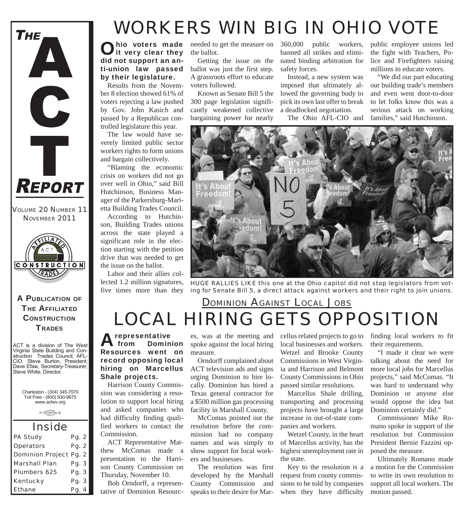

*VOLUME 20 NUMBER 11 NOVEMBER 2011*



A PUBLICATION OF **THE AFFILIATED CONSTRUCTION TRADES** 

ACT is a division of The West Virginia State Building and Construction Trades Council, AFL-CIO. Steve Burton, President; Dave Efaw, Secretary-Treasurer; Steve White, Director.

Charleston - (304) 345-7570 Toll Free - (800) 930-9675 www.actwv.org

 $\theta$  (There are the college)  $\theta$ 

| <i><b>Inside</b></i>          |       |  |
|-------------------------------|-------|--|
| <b>PA Study</b>               | Pg. 2 |  |
| <b>Operators</b>              | Pg. 2 |  |
| <b>Dominion Project Pg. 2</b> |       |  |
| <b>Marshall Plan</b>          | Pg. 3 |  |
| <b>Plumbers 625</b>           | Pg. 3 |  |
| <b>Kentucky</b>               | Pg. 3 |  |
| <b>Ethane</b>                 | Pg. 4 |  |

# *WORKERS WIN BIG IN OHIO VOTE*

Ohio voters made<br>It very clear they did not support an anti-union law passed by their legislature.

Results from the November 8 election showed 61% of voters rejecting a law pushed by Gov. John Kasich and passed by a Republican controlled legislature this year.

The law would have severely limited public sector workers rights to form unions and bargain collectively.

"Blaming the economic crisis on workers did not go over well in Ohio," said Bill Hutchinson, Business Manager of the Parkersburg-Marietta Building Trades Council.

According to Hutchinson, Building Trades unions across the state played a significant role in the election starting with the petition drive that was needed to get the issue on the ballot.

Labor and their allies collected 1.2 million signatures, five times more than they

the ballot.

Getting the issue on the ballot was just the first step. A grassroots effort to educate voters followed.

Known as Senate Bill 5 the 300 page legislation significantly weakened collective bargaining power for nearly

needed to get the measure on 360,000 public workers, banned all strikes and eliminated binding arbitration for safety forces.

> Instead, a new system was imposed that ultimately allowed the governing body to pick its own last offer to break a deadlocked negotiation.

The Ohio AFL-CIO and

public employee unions led the fight with Teachers, Police and Firefighters raising millions to educate voters.

"We did our part educating our building trade's members and even went door-to-door to let folks know this was a serious attack on working families," said Hutchinson.



*HUGE RALLIES LIKE this one at the Ohio capitol did not stop legislators from voting for Senate Bill 5, a direct attack against workers and their right to join unions.* 

#### *LOCAL HIRING GETS OPPOSITION DOMINION AGAINST LOCAL JOBS*

**A representative**<br>**A** from Domin Dominion Resources went on record opposing local hiring on Marcellus Shale projects.

Harrison County Commission was considering a resolution to support local hiring and asked companies who had difficulty finding qualified workers to contact the Commission.

ACT Representative Matthew McComas made a presentation to the Harrison County Commission on Thursday, November 10.

Bob Orndorff, a representative of Dominion Resources, was at the meeting and spoke against the local hiring measure.

Orndorff complained about ACT television ads and signs urging Dominion to hire locally. Dominion has hired a Texas general contractor for a \$500 million gas processing facility in Marshall County.

McComas pointed out the resolution before the commission had no company names and was simply to show support for local workers and businesses.

The resolution was first developed by the Marshall County Commission and speaks to their desire for Marcellus related projects to go to local businesses and workers. Wetzel and Brooke County Commissions in West Virginia and Harrison and Belmont County Commissions in Ohio passed similar resolutions.

Marcellus Shale drilling, transporting and processing projects have brought a large increase in out-of-state companies and workers.

Wetzel County, in the heart of Marcellus activity, has the highest unemployment rate in the state.

Key to the resolution is a request from county commissions to be told by companies when they have difficulty

finding local workers to fit their requirements.

"I made it clear we were talking about the need for more local jobs for Marcellus projects," said McComas. "It was hard to understand why Dominion or anyone else would oppose the idea but Dominion certainly did."

Commissioner Mike Romano spoke in support of the resolution but Commission President Bernie Fazzini opposed the measure.

Ultimately Romano made a motion for the Commission to write its own resolution to support all local workers. The motion passed.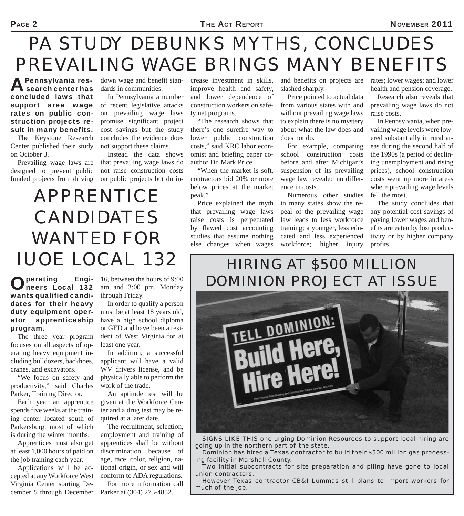# *PA STUDY DEBUNKS MYTHS, CONCLUDES PREVAILING WAGE BRINGS MANY BENEFITS*

A Pennsylvania res-<br>A search center has concluded laws that support area wage of recent legislative attacks rates on public construction projects result in many benefits.

The Keystone Research Center published their study on October 3.

Prevailing wage laws are designed to prevent public funded projects from driving down wage and benefit standards in communities.

In Pennsylvania a number on prevailing wage laws promise significant project cost savings but the study concludes the evidence does not support these claims.

Instead the data shows that prevailing wage laws do not raise construction costs on public projects but do in-

*APPRENTICE CANDIDATES WANTED FOR IUOE LOCAL 132* 

crease investment in skills, improve health and safety, and lower dependence of construction workers on safe-

ty net programs. "The research shows that there's one surefire way to lower public construction costs," said KRC labor economist and briefing paper coauthor Dr. Mark Price.

"When the market is soft, contractors bid 20% or more below prices at the market peak."

Price explained the myth that prevailing wage laws raise costs is perpetuated by flawed cost accounting studies that assume nothing else changes when wages and benefits on projects are slashed sharply.

Price pointed to actual data from various states with and without prevailing wage laws to explain there is no mystery about what the law does and does not do.

For example, comparing school construction costs before and after Michigan's suspension of its prevailing wage law revealed no difference in costs.

Numerous other studies in many states show the repeal of the prevailing wage law leads to less workforce training; a younger, less educated and less experienced workforce; higher injury

rates; lower wages; and lower health and pension coverage.

Research also reveals that prevailing wage laws do not raise costs.

In Pennsylvania, when prevailing wage levels were lowered substantially in rural areas during the second half of the 1990s (a period of declining unemployment and rising prices), school construction costs went up more in areas where prevailing wage levels fell the most.

The study concludes that any potential cost savings of paying lower wages and benefits are eaten by lost productivity or by higher company profits.

#### *HIRING AT \$500 MILLION DOMINION PROJECT AT ISSUE*



*SIGNS LIKE THIS one urging Dominion Resources to support local hiring are going up in the northern part of the state.*

*Dominion has hired a Texas contractor to build their \$500 million gas processing facility in Marshall County.*

*Two initial subcontracts for site preparation and piling have gone to local union contractors.* 

*However Texas contractor CB&I Lummas still plans to import workers for much of the job.*

#### Operating Engi-neers Local 132 wants qualified candidates for their heavy duty equipment operator apprenticeship program.

The three year program focuses on all aspects of operating heavy equipment including bulldozers, backhoes, cranes, and excavators.

"We focus on safety and productivity," said Charles Parker, Training Director.

Each year an apprentice spends five weeks at the training center located south of Parkersburg, most of which is during the winter months.

Apprentices must also get at least 1,000 hours of paid on the job training each year.

Applications will be accepted at any Workforce West Virginia Center starting December 5 through December 16, between the hours of 9:00 am and 3:00 pm, Monday through Friday.

In order to qualify a person must be at least 18 years old, have a high school diploma or GED and have been a resident of West Virginia for at least one year.

In addition, a successful applicant will have a valid WV drivers license, and be physically able to perform the work of the trade.

An aptitude test will be given at the Workforce Center and a drug test may be required at a later date.

The recruitment, selection, employment and training of apprentices shall be without discrimination because of age, race, color, religion, national origin, or sex and will conform to ADA regulations.

For more information call Parker at (304) 273-4852.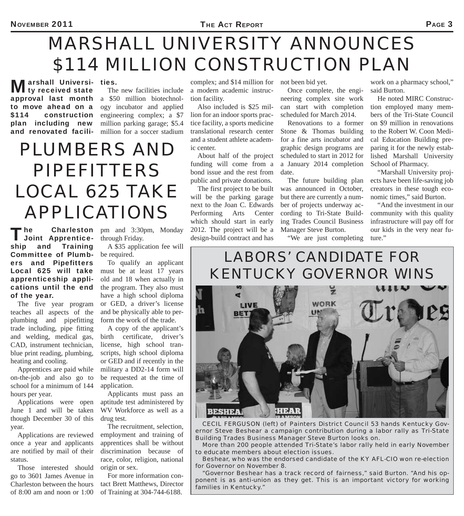# *MARSHALL UNIVERSITY ANNOUNCES \$114 MILLION CONSTRUCTION PLAN*

**Marshall Universi-**<br>Mark received state approval last month a \$50 million biotechnolto move ahead on a \$114 construction plan including new and renovated faciliarshall Universi- ties.

The new facilities include ogy incubator and applied engineering complex; a \$7 million parking garage; \$5.4 million for a soccer stadium

# *PLUMBERS AND PIPEFITTERS LOCAL 625 TAKE APPLICATIONS*

complex; and \$14 million for not been bid yet. a modern academic instruction facility.

Also included is \$25 million for an indoor sports practice facility, a sports medicine translational research center and a student athlete academic center.

About half of the project funding will come from a bond issue and the rest from public and private donations.

The first project to be built will be the parking garage next to the Joan C. Edwards Performing Arts Center which should start in early 2012. The project will be a design-build contract and has

Once complete, the engineering complex site work can start with completion scheduled for March 2014.

Renovations to a former Stone & Thomas building for a fine arts incubator and graphic design programs are scheduled to start in 2012 for a January 2014 completion date.

The future building plan was announced in October, but there are currently a number of projects underway according to Tri-State Building Trades Council Business Manager Steve Burton.

"We are just completing

work on a pharmacy school," said Burton.

He noted MIRC Construction employed many members of the Tri-State Council on \$9 million in renovations to the Robert W. Coon Medical Education Building preparing it for the newly established Marshall University School of Pharmacy.

"Marshall University projects have been life-saving job creators in these tough economic times," said Burton.

"And the investment in our community with this quality infrastructure will pay off for

The Charleston pm and 3:30pm, Monday 2012. The project will be a Manager Steve Burton. our kids in the very near fu-<br> **Joint Apprentice**- through Friday.<br> **Collection** the very near fu-<br>
design-build contract and has "We a Joint Apprenticeship and Training Committee of Plumbers and Pipefitters Local 625 will take apprenticeship applications until the end of the year.

The five year program teaches all aspects of the plumbing and pipefitting trade including, pipe fitting and welding, medical gas, CAD, instrument technician, blue print reading, plumbing, heating and cooling.

Apprentices are paid while on-the-job and also go to school for a minimum of 144 hours per year.

Applications were open June 1 and will be taken though December 30 of this year.

Applications are reviewed once a year and applicants are notified by mail of their status.

Those interested should go to 3601 James Avenue in Charleston between the hours of 8:00 am and noon or 1:00 through Friday.

A \$35 application fee will be required.

To qualify an applicant must be at least 17 years old and 18 when actually in the program. They also must have a high school diploma or GED, a driver's license and be physically able to perform the work of the trade.

A copy of the applicant's birth certificate, driver's license, high school transcripts, high school diploma or GED and if recently in the military a DD2-14 form will be requested at the time of application.

Applicants must pass an aptitude test administered by WV Workforce as well as a drug test.

The recruitment, selection, employment and training of apprentices shall be without discrimination because of race, color, religion, national origin or sex.

For more information contact Brett Matthews, Director of Training at 304-744-6188.

#### *LABORS' CANDIDATE FOR KENTUCKY GOVERNOR WINS*



*CECIL FERGUSON (left) of Painters District Council 53 hands Kentucky Governor Steve Beshear a campaign contribution during a labor rally as Tri-State Building Trades Business Manager Steve Burton looks on.*

*More than 200 people attended Tri-State's labor rally held in early November to educate members about election issues.*

*Beshear, who was the endorsed candidate of the KY AFL-CIO won re-election for Governor on November 8.*

*"Governor Beshear has a track record of fairness," said Burton. "And his op*ponent is as anti-union as they get. This is an important victory for working *families in Kentucky."*